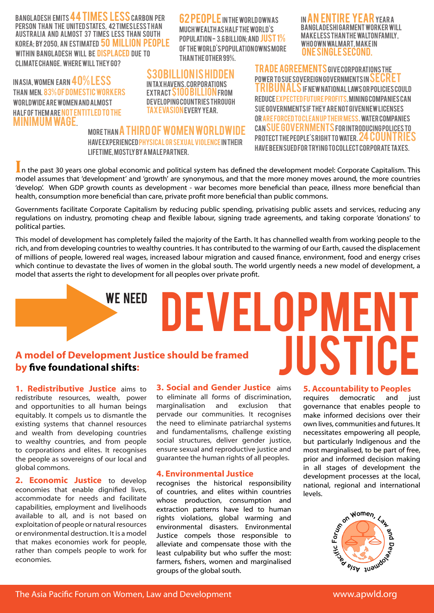BANGLADESH EMITS 44 TIMES LESS CARBON PER person than the United States, 42 times less t han Australia and almost 37 times less than South Korea; by 2050, an estimated 50 million people WITHIN BANGLADESH WILL BE DISPLACED DUE TO Climate Change. Where will they go?

IN ASIA, WOMEN EARN 40% LESS than men. 83% of domestic workers WORLDWIDE ARE WOMEN AND ALMOST half of them are not entitled to the minimum wage.

**62 PEOPLE IN THE WORLD OWN AS** MUCH WEALTH AS HALF THE WORLD'S population - 3.6 billion; and just 1% of the world's population owns more than the other 99%.

IN AN ENTIRE YEAR YEAR A Bangladeshi garment worker will make less than the Walton Family, who own Walmart, make in one single second.

Trade Agreements give corporations the  $\tt{power}$  to sue sovereign governments in  $\tt{SECRE}$ I RIBUNALS IF NEW NATIONAL LAWS OR POLICIES COULD reduce expected future profits. Mining companies can sue governments if they are not given new licenses or are forced to clean up their mess. Water companies can sue governmentsfor introducing polices to PROTECT THE PEOPLE'S RIGHT TO WATER. 24 COUNTRIES have been sued for trying to collect corporate taxes.

MORE THAN A THIRD OF WOMEN WORLDWIDE have experienced physical or sexual violence in their lifetime, mostly by a male partner.

\$30billion is hidden in tax havens. Corporations extract \$100 billion from developing countries through tax evasion every year.

In the past 30 years one global economic and political system has defined the development model: Corporate Capitalism. This model assumes that 'development' and 'growth' are synonymous, and that the more money moves around, the more countries 'develop'. When GDP growth counts as development - war becomes more beneficial than peace, illness more beneficial than health, consumption more beneficial than care, private profit more beneficial than public commons.

Governments facilitate Corporate Capitalism by reducing public spending, privatising public assets and services, reducing any regulations on industry, promoting cheap and flexible labour, signing trade agreements, and taking corporate 'donations' to political parties.

This model of development has completely failed the majority of the Earth. It has channelled wealth from working people to the rich, and from developing countries to wealthy countries. It has contributed to the warming of our Earth, caused the displacement of millions of people, lowered real wages, increased labour migration and caused finance, environment, food and energy crises which continue to devastate the lives of women in the global south. The world urgently needs a new model of development, a model that asserts the right to development for all peoples over private profit.

# **A model of Development Justice should be framed by five foundational shifts:**

WE NEED

**1. Redistributive Justice** aims to redistribute resources, wealth, power and opportunities to all human beings equitably. It compels us to dismantle the existing systems that channel resources and wealth from developing countries to wealthy countries, and from people to corporations and elites. It recognises the people as sovereigns of our local and global commons.

**2. Economic Justice** to develop economies that enable dignified lives, accommodate for needs and facilitate capabilities, employment and livelihoods available to all, and is not based on exploitation of people or natural resources or environmental destruction. It is a model that makes economies work for people, rather than compels people to work for economies.

**3. Social and Gender Justice** aims to eliminate all forms of discrimination, marginalisation and exclusion that pervade our communities. It recognises the need to eliminate patriarchal systems and fundamentalisms, challenge existing social structures, deliver gender justice, ensure sexual and reproductive justice and guarantee the human rights of all peoples.

#### **4. Environmental Justice**

recognises the historical responsibility of countries, and elites within countries whose production, consumption and extraction patterns have led to human rights violations, global warming and environmental disasters. Environmental Justice compels those responsible to alleviate and compensate those with the least culpability but who suffer the most: farmers, fishers, women and marginalised groups of the global south. available to the exploitation of people or natural resources<br>or environmental destruction. It is a model<br>that makes economies work for people, alleviate and compensate those with the<br>rather than compels people to work for

#### **5. Accountability to Peoples**

JUSTICE

DEVELOPMENT

requires democratic and just governance that enables people to make informed decisions over their own lives, communities and futures. It necessitates empowering all people, but particularly Indigenous and the most marginalised, to be part of free, prior and informed decision making in all stages of development the development processes at the local, national, regional and international levels.